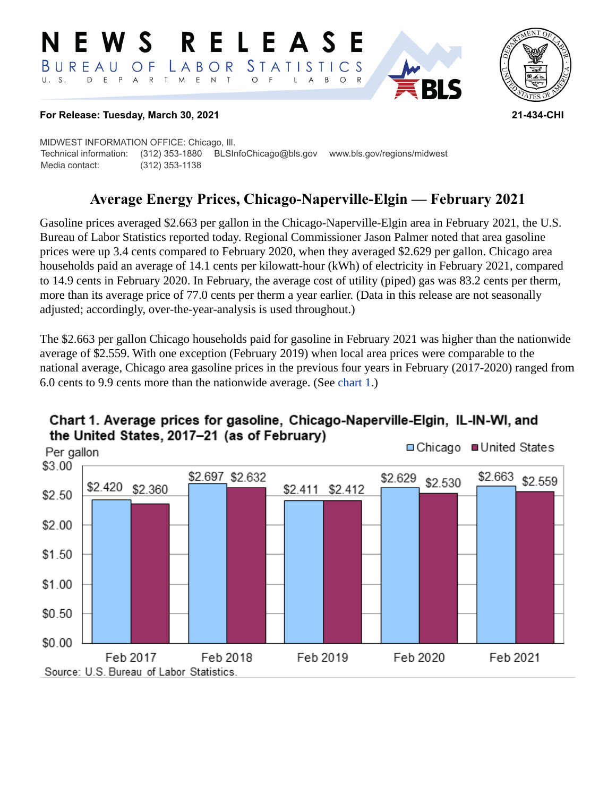#### RELEASE **N E W S** LABOR STATISTICS BUREAU OF D E P A R T M E N T  $\circ$  $F$  $\mathsf{L}$  $\mathsf{A}$  $B$  $O$   $R$



#### **For Release: Tuesday, March 30, 2021 21-434-CHI**

MIDWEST INFORMATION OFFICE: Chicago, Ill. Technical information: (312) 353-1880 BLSInfoChicago@bls.gov www.bls.gov/regions/midwest Media contact: (312) 353-1138

# **Average Energy Prices, Chicago-Naperville-Elgin — February 2021**

Gasoline prices averaged \$2.663 per gallon in the Chicago-Naperville-Elgin area in February 2021, the U.S. Bureau of Labor Statistics reported today. Regional Commissioner Jason Palmer noted that area gasoline prices were up 3.4 cents compared to February 2020, when they averaged \$2.629 per gallon. Chicago area households paid an average of 14.1 cents per kilowatt-hour (kWh) of electricity in February 2021, compared to 14.9 cents in February 2020. In February, the average cost of utility (piped) gas was 83.2 cents per therm, more than its average price of 77.0 cents per therm a year earlier. (Data in this release are not seasonally adjusted; accordingly, over-the-year-analysis is used throughout.)

The \$2.663 per gallon Chicago households paid for gasoline in February 2021 was higher than the nationwide average of \$2.559. With one exception (February 2019) when local area prices were comparable to the national average, Chicago area gasoline prices in the previous four years in February (2017-2020) ranged from 6.0 cents to 9.9 cents more than the nationwide average. (See [chart 1.](#page-0-0))



## <span id="page-0-0"></span>Chart 1. Average prices for gasoline, Chicago-Naperville-Elgin, IL-IN-WI, and the United States, 2017-21 (as of February)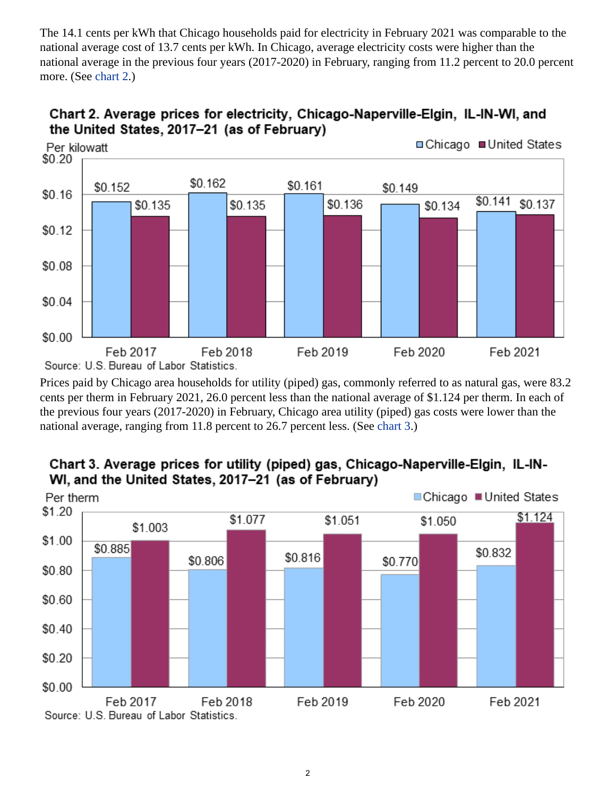The 14.1 cents per kWh that Chicago households paid for electricity in February 2021 was comparable to the national average cost of 13.7 cents per kWh. In Chicago, average electricity costs were higher than the national average in the previous four years (2017-2020) in February, ranging from 11.2 percent to 20.0 percent more. (See [chart 2.](#page-1-0))

<span id="page-1-0"></span>



Prices paid by Chicago area households for utility (piped) gas, commonly referred to as natural gas, were 83.2 cents per therm in February 2021, 26.0 percent less than the national average of \$1.124 per therm. In each of the previous four years (2017-2020) in February, Chicago area utility (piped) gas costs were lower than the national average, ranging from 11.8 percent to 26.7 percent less. (See [chart 3](#page-1-1).)

<span id="page-1-1"></span>



#### 2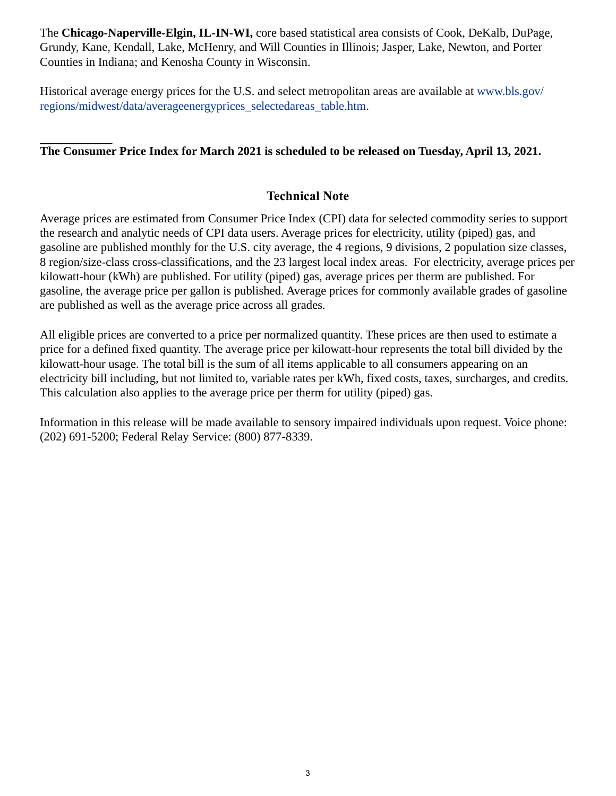The **Chicago-Naperville-Elgin, IL-IN-WI,** core based statistical area consists of Cook, DeKalb, DuPage, Grundy, Kane, Kendall, Lake, McHenry, and Will Counties in Illinois; Jasper, Lake, Newton, and Porter Counties in Indiana; and Kenosha County in Wisconsin.

Historical average energy prices for the U.S. and select metropolitan areas are available at [www.bls.gov/](https://www.bls.gov/regions/midwest/data/averageenergyprices_selectedareas_table.htm) [regions/midwest/data/averageenergyprices\\_selectedareas\\_table.htm.](https://www.bls.gov/regions/midwest/data/averageenergyprices_selectedareas_table.htm)

## **The Consumer Price Index for March 2021 is scheduled to be released on Tuesday, April 13, 2021.**

### **Technical Note**

Average prices are estimated from Consumer Price Index (CPI) data for selected commodity series to support the research and analytic needs of CPI data users. Average prices for electricity, utility (piped) gas, and gasoline are published monthly for the U.S. city average, the 4 regions, 9 divisions, 2 population size classes, 8 region/size-class cross-classifications, and the 23 largest local index areas. For electricity, average prices per kilowatt-hour (kWh) are published. For utility (piped) gas, average prices per therm are published. For gasoline, the average price per gallon is published. Average prices for commonly available grades of gasoline are published as well as the average price across all grades.

All eligible prices are converted to a price per normalized quantity. These prices are then used to estimate a price for a defined fixed quantity. The average price per kilowatt-hour represents the total bill divided by the kilowatt-hour usage. The total bill is the sum of all items applicable to all consumers appearing on an electricity bill including, but not limited to, variable rates per kWh, fixed costs, taxes, surcharges, and credits. This calculation also applies to the average price per therm for utility (piped) gas.

Information in this release will be made available to sensory impaired individuals upon request. Voice phone: (202) 691-5200; Federal Relay Service: (800) 877-8339.